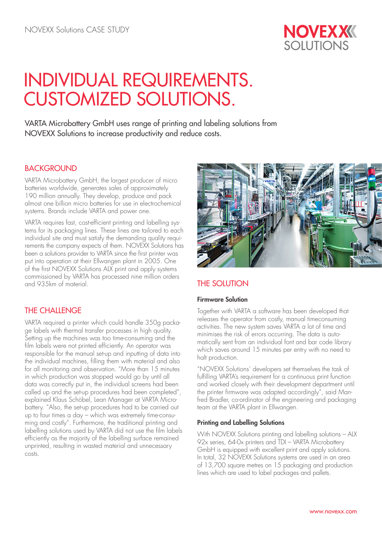

# INDIVIDUAL REQUIREMENTS. CUSTOMIZED SOLUTIONS.

VARTA Microbattery GmbH uses range of printing and labeling solutions from NOVEXX Solutions to increase productivity and reduce costs.

## **BACKGROUND**

VARTA Microbattery GmbH, the largest producer of micro batteries worldwide, generates sales of approximately 190 million annually. They develop, produce and pack almost one billion micro batteries for use in electrochemical systems. Brands include VARTA and power one.

VARTA requires fast, cost-efficient printing and labelling systems for its packaging lines. These lines are tailored to each individual site and must satisfy the demanding quality requirements the company expects of them. NOVEXX Solutions has been a solutions provider to VARTA since the first printer was put into operation at their Ellwangen plant in 2005. One of the first NOVEXX Solutions ALX print and apply systems commissioned by VARTA has processed nine million orders and 935km of material.

# THE CHALLENGE

VARTA required a printer which could handle 350g package labels with thermal transfer processes in high quality. Setting up the machines was too time-consuming and the film labels were not printed efficiently. An operator was responsible for the manual set-up and inputting of data into the individual machines, filling them with material and also for all monitoring and observation. "More than 15 minutes in which production was stopped would go by until all data was correctly put in, the individual screens had been called up and the set-up procedures had been completed", explained Klaus Schöbel, Lean Manager at VARTA Microbattery. "Also, the set-up procedures had to be carried out up to four times a day – which was extremely time-consuming and costly". Furthermore, the traditional printing and labelling solutions used by VARTA did not use the film labels efficiently as the majority of the labelling surface remained unprinted, resulting in wasted material and unnecessary costs.



# THE SOLUTION

#### Firmware Solution

Together with VARTA a software has been developed that releases the operator from costly, manual timeconsuming activities. The new system saves VARTA a lot of time and minimises the risk of errors occurring. The data is automatically sent from an individual font and bar code library which saves around 15 minutes per entry with no need to halt production.

"NOVEXX Solutions' developers set themselves the task of fulfilling VARTA's requirement for a continuous print function and worked closely with their development department until the printer firmware was adapted accordingly", said Manfred Bradler, co-ordinator of the engineering and packaging team at the VARTA plant in Ellwangen.

#### Printing and Labelling Solutions

With NOVEXX Solutions printing and labelling solutions – ALX 92x series, 64-0x printers and TDI – VARTA Microbattery GmbH is equipped with excellent print and apply solutions. In total, 32 NOVEXX Solutions systems are used in an area of 13,700 square metres on 15 packaging and production lines which are used to label packages and pallets.